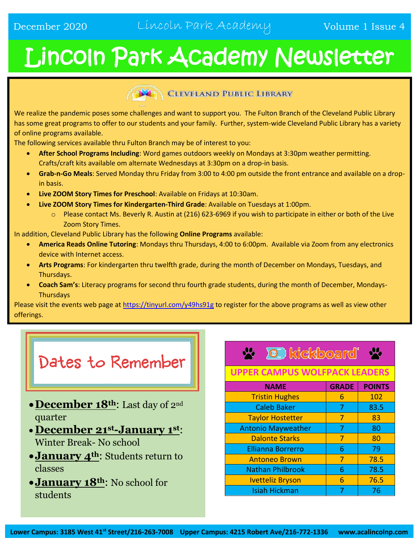# Lincoln Park Academy Newsletter



#### **CLEVELAND PUBLIC LIBRARY**

We realize the pandemic poses some challenges and want to support you. The Fulton Branch of the Cleveland Public Library has some great programs to offer to our students and your family. Further, system-wide Cleveland Public Library has a variety of online programs available.

The following services available thru Fulton Branch may be of interest to you:

- **After School Programs Including**: Word games outdoors weekly on Mondays at 3:30pm weather permitting. Crafts/craft kits available om alternate Wednesdays at 3:30pm on a drop-in basis.
- **Grab-n-Go Meals**: Served Monday thru Friday from 3:00 to 4:00 pm outside the front entrance and available on a dropin basis.
- **Live ZOOM Story Times for Preschool**: Available on Fridays at 10:30am.
- **Live ZOOM Story Times for Kindergarten-Third Grade**: Available on Tuesdays at 1:00pm.
	- $\circ$  Please contact Ms. Beverly R. Austin at (216) 623-6969 if you wish to participate in either or both of the Live Zoom Story Times.

In addition, Cleveland Public Library has the following **Online Programs** available:

- **America Reads Online Tutoring**: Mondays thru Thursdays, 4:00 to 6:00pm. Available via Zoom from any electronics device with Internet access.
- **Arts Programs**: For kindergarten thru twelfth grade, during the month of December on Mondays, Tuesdays, and Thursdays.
- **Coach Sam's**: Literacy programs for second thru fourth grade students, during the month of December, Mondays-**Thursdays**

Please visit the events web page at<https://tinyurl.com/y49hs91g> to register for the above programs as well as view other offerings.

# Dates to Remember

- **December 18th**: Last day of 2nd quarter
- **December 21st-January 1st**: Winter Break- No school
- **January 4th**: Students return to classes
- **January 18th**: No school for students

## **X** I kickboard'

#### **UPPER CAMPUS WOLFPACK LEADERS**

| <b>NAME</b>               | <b>GRADE</b> | <b>POINTS</b> |
|---------------------------|--------------|---------------|
| <b>Tristin Hughes</b>     | 6            | 102           |
| <b>Caleb Baker</b>        | 7            | 83.5          |
| <b>Taylor Hostetter</b>   | 7            | 83            |
| <b>Antonio Mayweather</b> | 7            | 80            |
| <b>Dalonte Starks</b>     | 7            | 80            |
| <b>Ellianna Borrerro</b>  | 6            | 79            |
| <b>Antoneo Brown</b>      | 7            | 78.5          |
| <b>Nathan Philbrook</b>   | 6            | 78.5          |
| <b>Ivetteliz Bryson</b>   | 6            | 76.5          |
| <b>Isiah Hickman</b>      |              | 76            |